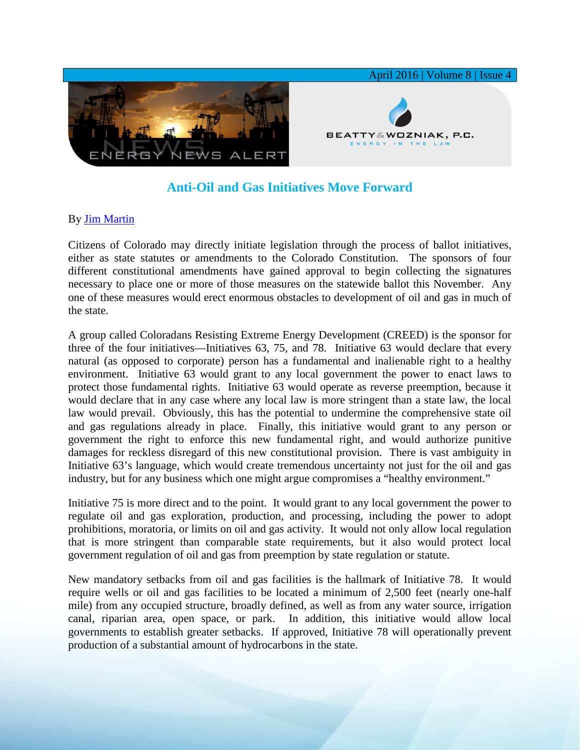

## **Anti-Oil and Gas Initiatives Move Forward**

## By [Jim Martin](http://www.bwenergylaw.com/#!jim-martin/cqkh)

Citizens of Colorado may directly initiate legislation through the process of ballot initiatives, either as state statutes or amendments to the Colorado Constitution. The sponsors of four different constitutional amendments have gained approval to begin collecting the signatures necessary to place one or more of those measures on the statewide ballot this November. Any one of these measures would erect enormous obstacles to development of oil and gas in much of the state.

A group called Coloradans Resisting Extreme Energy Development (CREED) is the sponsor for three of the four initiatives—Initiatives 63, 75, and 78. Initiative 63 would declare that every natural (as opposed to corporate) person has a fundamental and inalienable right to a healthy environment. Initiative 63 would grant to any local government the power to enact laws to protect those fundamental rights. Initiative 63 would operate as reverse preemption, because it would declare that in any case where any local law is more stringent than a state law, the local law would prevail. Obviously, this has the potential to undermine the comprehensive state oil and gas regulations already in place. Finally, this initiative would grant to any person or government the right to enforce this new fundamental right, and would authorize punitive damages for reckless disregard of this new constitutional provision. There is vast ambiguity in Initiative 63's language, which would create tremendous uncertainty not just for the oil and gas industry, but for any business which one might argue compromises a "healthy environment."

Initiative 75 is more direct and to the point. It would grant to any local government the power to regulate oil and gas exploration, production, and processing, including the power to adopt prohibitions, moratoria, or limits on oil and gas activity. It would not only allow local regulation that is more stringent than comparable state requirements, but it also would protect local government regulation of oil and gas from preemption by state regulation or statute.

New mandatory setbacks from oil and gas facilities is the hallmark of Initiative 78. It would require wells or oil and gas facilities to be located a minimum of 2,500 feet (nearly one-half mile) from any occupied structure, broadly defined, as well as from any water source, irrigation canal, riparian area, open space, or park. In addition, this initiative would allow local governments to establish greater setbacks. If approved, Initiative 78 will operationally prevent production of a substantial amount of hydrocarbons in the state.